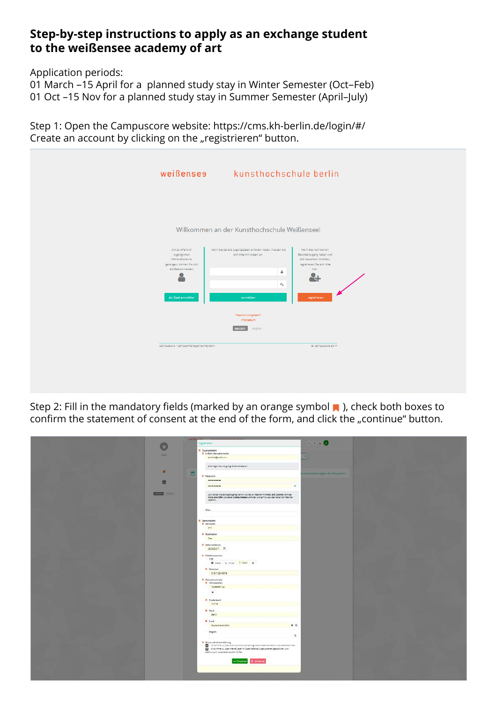## **Step-by-step instructions to apply as an exchange student to the weißensee academy of art**

Application periods:

01 March –15 April for a planned study stay in Winter Semester (Oct–Feb) 01 Oct –15 Nov for a planned study stay in Summer Semester (April–July)

Step 1: Open the Campuscore website: https://cms.kh-berlin.de/login/#/ Create an account by clicking on the "registrieren" button.

|                                                                                                               | weißenses kunsthochschule berlin                                                                                       |                                                                                                            |  |
|---------------------------------------------------------------------------------------------------------------|------------------------------------------------------------------------------------------------------------------------|------------------------------------------------------------------------------------------------------------|--|
| Um zu öffentlich                                                                                              | Willkommen an der Kunsthochschule Weißensee!                                                                           | Wenn Sie noch keinen                                                                                       |  |
| zugänglichen<br>Informationen zu<br>gelangen, können Sie sich<br>als Gast anmelden.<br>9<br>als Gast anmelden | Wenn Sie bereits Zugangsdaten erhalten haben, melden Sie-<br>sich bitte mit diesen an.<br>å<br>$a_{\rm e}$<br>anmelden | Benutzerzugang haben und<br>sich bewerben möchten.<br>registrieren Sie sich bitte<br>hier.<br>registrieren |  |
|                                                                                                               | Passwort vergessen?<br>Impressum<br>deutsch<br>english                                                                 |                                                                                                            |  |
| CampusCore - Campus-Management-System                                                                         |                                                                                                                        | C CampusCore 2017                                                                                          |  |

Step 2: Fill in the mandatory fields (marked by an orange symbol **n**), check both boxes to confirm the statement of consent at the end of the form, and click the "continue" button.

| $\epsilon$ weither |                                                                                                                                                                                                                    |                               |  |
|--------------------|--------------------------------------------------------------------------------------------------------------------------------------------------------------------------------------------------------------------|-------------------------------|--|
|                    | registriaren                                                                                                                                                                                                       | 1.16                          |  |
|                    | <b>A</b> Zugangsdaten                                                                                                                                                                                              |                               |  |
| <b>Gast</b>        | <b>R</b> Littail/Benutzername                                                                                                                                                                                      |                               |  |
|                    | inventor@gradicom                                                                                                                                                                                                  | a                             |  |
|                    |                                                                                                                                                                                                                    |                               |  |
|                    | 8% rapid to one garge trianscess and                                                                                                                                                                               |                               |  |
| $\mathcal{R}$<br>Ĥ |                                                                                                                                                                                                                    | werecartalturgen durchwichen. |  |
|                    | <b>R</b> Passwort                                                                                                                                                                                                  |                               |  |
| 兽                  | ----------                                                                                                                                                                                                         |                               |  |
|                    | v.<br>**********                                                                                                                                                                                                   |                               |  |
| <b>Telephone</b>   |                                                                                                                                                                                                                    |                               |  |
|                    | Dum Schutz mitet Seruzterzugangs variien 3 di biteilen Passvort mit mitet, acht Zeichen, de müss<br>Interdi eine Ziffer und einen Großbuchsfaben erthelten und derfinur aus einerschen Schriftskichen<br>passiver. |                               |  |
|                    |                                                                                                                                                                                                                    |                               |  |
|                    | Alies                                                                                                                                                                                                              |                               |  |
|                    |                                                                                                                                                                                                                    |                               |  |
|                    |                                                                                                                                                                                                                    |                               |  |
|                    | <b><i>M. Stammdaten</i></b><br><b>R</b> Vername                                                                                                                                                                    |                               |  |
|                    | $200$                                                                                                                                                                                                              |                               |  |
|                    | <b>R</b> Nachname                                                                                                                                                                                                  |                               |  |
|                    | Cos                                                                                                                                                                                                                |                               |  |
|                    |                                                                                                                                                                                                                    |                               |  |
|                    | <b>R</b> Geboradatum<br>08.09.2017 (7)                                                                                                                                                                             |                               |  |
|                    |                                                                                                                                                                                                                    |                               |  |
|                    | <b>R. Teleformanimer</b><br>lyp                                                                                                                                                                                    |                               |  |
|                    | <b>R</b> Arbeit & Privat D Mebl @                                                                                                                                                                                  |                               |  |
|                    | <b>B</b> Nummer                                                                                                                                                                                                    |                               |  |
|                    | 015112345674                                                                                                                                                                                                       |                               |  |
|                    | <b>H</b> Heinatechnik                                                                                                                                                                                              |                               |  |
|                    | <b>R</b> Adresszellen                                                                                                                                                                                              |                               |  |
|                    | Musterstr. 52                                                                                                                                                                                                      |                               |  |
|                    | $\ddot{}$                                                                                                                                                                                                          |                               |  |
|                    |                                                                                                                                                                                                                    |                               |  |
|                    | <b>A</b> Posticitable<br>roviv.                                                                                                                                                                                    |                               |  |
|                    |                                                                                                                                                                                                                    |                               |  |
|                    | R. Stedt                                                                                                                                                                                                           |                               |  |
|                    | Setin.                                                                                                                                                                                                             |                               |  |
|                    | <b>H</b> Lend                                                                                                                                                                                                      |                               |  |
|                    | $0^{\circ}$<br>Dautschland (DEU)                                                                                                                                                                                   |                               |  |
|                    | llegion                                                                                                                                                                                                            |                               |  |
|                    | $\alpha$                                                                                                                                                                                                           |                               |  |
|                    | $\blacksquare$ Enversionloberklining                                                                                                                                                                               |                               |  |
|                    | 2 International des die United Nutrealistique de Date annates und bestieten der<br>2 to stimme st. dass meine Daten in Daten verschättingssystemen gespeichert und                                                 |                               |  |
|                    | electronisch verarbeitet werden dürfen.                                                                                                                                                                            |                               |  |
|                    |                                                                                                                                                                                                                    |                               |  |
|                    | - fotostast                                                                                                                                                                                                        |                               |  |
|                    |                                                                                                                                                                                                                    |                               |  |
|                    |                                                                                                                                                                                                                    |                               |  |
|                    |                                                                                                                                                                                                                    |                               |  |
|                    |                                                                                                                                                                                                                    |                               |  |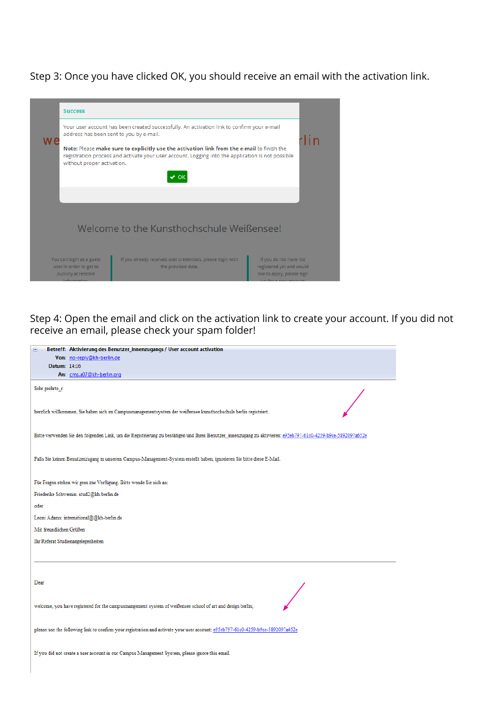Step 3: Once you have clicked OK, you should receive an email with the activation link.

|     | <b>Success</b>                                                                                                                                                                                                                                                                              |  |  |  |  |
|-----|---------------------------------------------------------------------------------------------------------------------------------------------------------------------------------------------------------------------------------------------------------------------------------------------|--|--|--|--|
| W 6 | Your user account has been created successfully. An activation link to confirm your e-mail<br>address has been sent to you by e-mail.                                                                                                                                                       |  |  |  |  |
|     | Note: Please make sure to explicitly use the activation link from the e-mail to finish the<br>registration process and activate your user account. Logging into the application is not possible<br>without proper activation.<br>$\vee$ OK                                                  |  |  |  |  |
|     |                                                                                                                                                                                                                                                                                             |  |  |  |  |
|     | Welcome to the Kunsthochschule Weißensee!                                                                                                                                                                                                                                                   |  |  |  |  |
|     | If you already received user credentials, please login with<br>You can login as a guest<br>If you do not have not<br>user in order to get to<br>registered yet and would<br>the provided data.<br>publicly accessible<br>like to apply, please sign<br>information<br>in for a now account. |  |  |  |  |

Step 4: Open the email and click on the activation link to create your account. If you did not receive an email, please check your spam folder!

| Von: no-reply@kh-berlin.de<br>Datum: 14:16<br>An: cms.a07@kh-berlin.org<br>Sehr geehrte_r<br>herzlich willkommen, Sie haben sich im Campusmanagementsystem der weißensee kunsthochschule berlin registriert.<br>Bitte verwenden Sie den folgenden Link, um die Registrierung zu bestätigen und Ihren Benutzer_innenzugang zu aktivieren: e95eb797-61c0-4259-b9ce-5892097a652e<br>Falls Sie keinen Benutzerzugang in unserem Campus-Management-System erstellt haben, ignorieren Sie bitte diese E-Mail. |
|---------------------------------------------------------------------------------------------------------------------------------------------------------------------------------------------------------------------------------------------------------------------------------------------------------------------------------------------------------------------------------------------------------------------------------------------------------------------------------------------------------|
|                                                                                                                                                                                                                                                                                                                                                                                                                                                                                                         |
|                                                                                                                                                                                                                                                                                                                                                                                                                                                                                                         |
|                                                                                                                                                                                                                                                                                                                                                                                                                                                                                                         |
|                                                                                                                                                                                                                                                                                                                                                                                                                                                                                                         |
|                                                                                                                                                                                                                                                                                                                                                                                                                                                                                                         |
|                                                                                                                                                                                                                                                                                                                                                                                                                                                                                                         |
|                                                                                                                                                                                                                                                                                                                                                                                                                                                                                                         |
| Für Fragen stehen wir gern zur Verfügung. Bitte wende Sie sich an:                                                                                                                                                                                                                                                                                                                                                                                                                                      |
| Friederike Schwemin: stud2@kh-berlin.de                                                                                                                                                                                                                                                                                                                                                                                                                                                                 |
| oder                                                                                                                                                                                                                                                                                                                                                                                                                                                                                                    |
| Leoni Adams: international@@kh-berlin.de                                                                                                                                                                                                                                                                                                                                                                                                                                                                |
| Mit freundlichen Grüßen                                                                                                                                                                                                                                                                                                                                                                                                                                                                                 |
| Ihr Referat Studienangelegenheiten                                                                                                                                                                                                                                                                                                                                                                                                                                                                      |
| Dear                                                                                                                                                                                                                                                                                                                                                                                                                                                                                                    |
| welcome, you have registered for the campusmangement system of weißensee school of art and design berlin;                                                                                                                                                                                                                                                                                                                                                                                               |
|                                                                                                                                                                                                                                                                                                                                                                                                                                                                                                         |
| please use the following link to confirm your registration and activate your user account: e95eb797-61c0-4259-b9ce-5892097a652e                                                                                                                                                                                                                                                                                                                                                                         |
| If you did not create a user account in our Campus Management System, please ignore this email.                                                                                                                                                                                                                                                                                                                                                                                                         |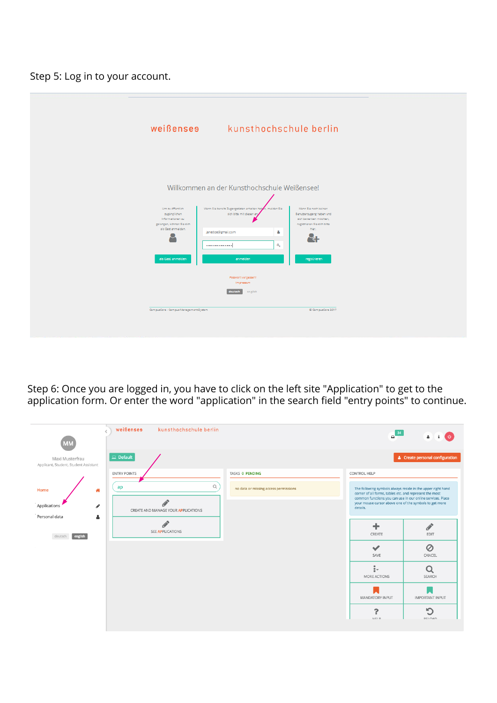Step 5: Log in to your account.

|                                                                                                                                                                            | weißenses kunsthochschule berlin                                                                                                                                                                                                                                               |                                                                                                                                                         |  |
|----------------------------------------------------------------------------------------------------------------------------------------------------------------------------|--------------------------------------------------------------------------------------------------------------------------------------------------------------------------------------------------------------------------------------------------------------------------------|---------------------------------------------------------------------------------------------------------------------------------------------------------|--|
| Um zu öffentlich<br>zugänglichen<br>Informationen zu<br>gelangen, können Sie sich<br>als Gast anmelden.<br>O<br>als Gast anmelden<br>CampusCore - Campus-Management-System | Willkommen an der Kunsthochschule Weißensee!<br>Wenn Sie bereits Zugangsdaten erhalten haben, melden Sie<br>sich bitte mit diesen an<br>å<br>janedoe@gmail.com<br>$a_{\!\scriptscriptstyle \bullet}$<br><br>anmelden<br>Passwort vergessen?<br>Impressum<br>deutsch<br>english | Wann Sie noch keinen<br>Benutzerzugang haben und<br>sich bewerben möchten.<br>registrieren Sie sich bitte<br>hler.<br>registrieren<br>C CampusCore 2017 |  |

Step 6: Once you are logged in, you have to click on the left site "Application" to get to the application form. Or enter the word "application" in the search field "entry points" to continue.

| <b>MM</b>                                                | weißensee<br>kunsthochschule berlin |                                       | $\sim$ 34                                                                                                                                                                            | $\Delta$                               |
|----------------------------------------------------------|-------------------------------------|---------------------------------------|--------------------------------------------------------------------------------------------------------------------------------------------------------------------------------------|----------------------------------------|
| Maxi Musterfrau<br>Applicant, Student, Student Assistant | $\Box$ Default                      |                                       |                                                                                                                                                                                      | <b>4</b> Create personal configuration |
|                                                          | <b>ENTRY POINTS</b>                 | TASKS O PENDING                       | CONTROL HELP                                                                                                                                                                         |                                        |
| Home<br>俗                                                | $\alpha$<br>ap                      | no data or missing access permissions | The following symbols always reside in the upper right hand<br>corner of all forms, tables etc. and represent the most<br>common functions you can use in our online services. Place |                                        |
| Applications<br>◢<br>Personal data<br>Δ                  | CREATE AND MANAGE YOUR APPLICATIONS |                                       | your mouse cursor above one of the symbols to get more<br>details.                                                                                                                   |                                        |
| english<br>deutsch                                       | SEE APPLICATIONS                    |                                       | ٠<br>CREATE                                                                                                                                                                          | <b>Contract</b><br>EDIT                |
|                                                          |                                     |                                       | $\checkmark$<br>SAVE                                                                                                                                                                 | $\oslash$<br>CANCEL                    |
|                                                          |                                     |                                       | ţ.<br>MORE ACTIONS                                                                                                                                                                   | $\alpha$<br>SEARCH                     |
|                                                          |                                     |                                       | MANDATORY INPUT                                                                                                                                                                      | <b>IMPORTANT INPUT</b>                 |
|                                                          |                                     |                                       | っ<br>HEI P                                                                                                                                                                           | $\sqrt{2}$<br><b>DEI OAD</b>           |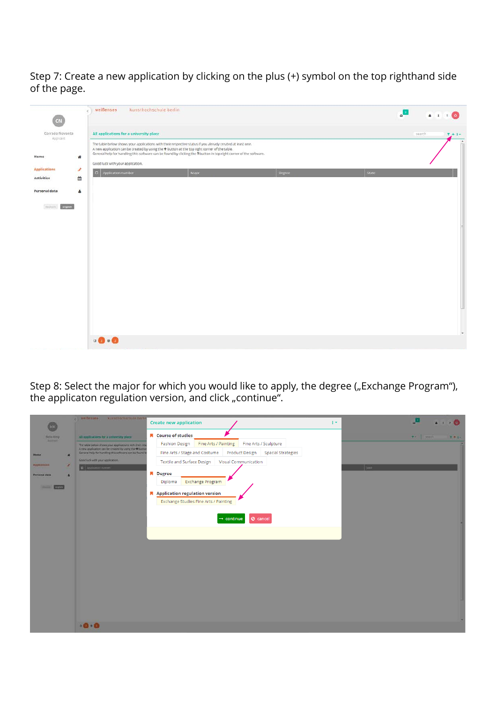Step 7: Create a new application by clicking on the plus (+) symbol on the top righthand side of the page.

| CN                                                  | weißenses<br>kunsthochschule berlin                                                                                                                                                                                                                                                                                                                                                                                                  | $\overline{\mathbf{a}}$<br>$A = 1 - 2$<br>$\theta$ |
|-----------------------------------------------------|--------------------------------------------------------------------------------------------------------------------------------------------------------------------------------------------------------------------------------------------------------------------------------------------------------------------------------------------------------------------------------------------------------------------------------------|----------------------------------------------------|
| Corrado Noventa<br>Applicant                        | All applications for a university place                                                                                                                                                                                                                                                                                                                                                                                              | search<br>$T + 1 + $<br>$\lambda$                  |
| Home<br>酱<br><b>Applications</b><br>P<br>Activities | The table below shows your applications with their respective status if you already created at least one.<br>A new application can be created by using the $\pm$ button at the top right corner of the table.<br>General help for handling this software can be found by clicking the ? button in top right corner of the software.<br>Good luck with your application.<br>$\Box$<br>Major<br>state:<br>Application number<br>Degree |                                                    |
| $\hat{m}$<br>Personal data<br>å                     |                                                                                                                                                                                                                                                                                                                                                                                                                                      |                                                    |
| autim engah                                         |                                                                                                                                                                                                                                                                                                                                                                                                                                      |                                                    |
|                                                     |                                                                                                                                                                                                                                                                                                                                                                                                                                      | $\bullet$                                          |
|                                                     | $0$ $0$ $\cdot$ $0$                                                                                                                                                                                                                                                                                                                                                                                                                  |                                                    |

Step 8: Select the major for which you would like to apply, the degree ("Exchange Program"), the applicaton regulation version, and click "continue".

|                                          | c Weitlensen<br><b>Kunsthochkchulk-berlin</b>                                                                                                                                | <b>Create new application</b><br>$\mathbf{H}$                                                                                                                                  |                      |
|------------------------------------------|------------------------------------------------------------------------------------------------------------------------------------------------------------------------------|--------------------------------------------------------------------------------------------------------------------------------------------------------------------------------|----------------------|
| Hellin Hitzy                             | All applications for a university place:                                                                                                                                     | <b>A</b> Course of studies                                                                                                                                                     | $+   -$<br>$T + 1 -$ |
| <b>Basical</b>                           | The table below shows your applications with their resp<br>A new application can be created by using the + button<br>General help for handling this software can be found by | Fine Arts / Painting<br><b>Fashion Design</b><br>Fine Arts / Sculpture<br>Fine Arts / Stage and Costume<br><b>Product Design</b><br><b>Spacial Strategies</b>                  |                      |
| <b>Home</b><br><b>Aggilications</b><br>× | Good lock with your application.                                                                                                                                             | Visual Communication<br><b>Textile and Surface Design</b>                                                                                                                      |                      |
| Personal data<br>1s<br><b>Hotel</b>      | <b>D</b> ANSWERP PLATES                                                                                                                                                      | <b>N</b> Degree<br>Exchange Program<br>Diploma<br>$\blacksquare$ Application regulation version<br>Exchange Studies Fine Arts / Painting<br>Ø cancel<br>$\rightarrow$ continue | 10.02                |
|                                          | $\bullet$ 0 $\bullet$ 0                                                                                                                                                      |                                                                                                                                                                                |                      |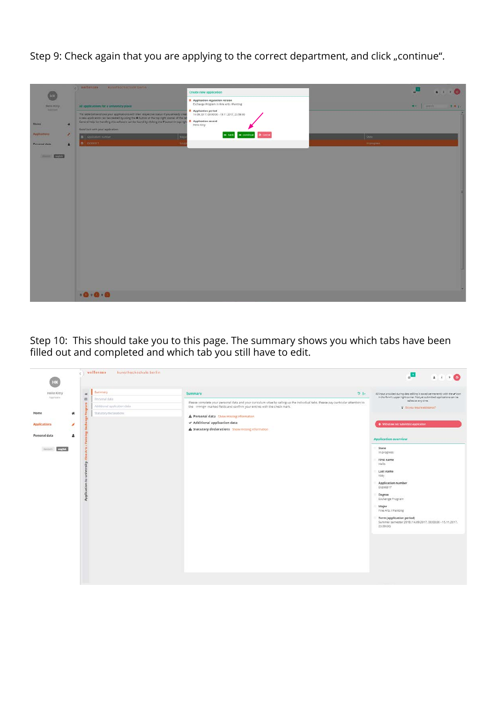Step 9: Check again that you are applying to the correct department, and click "continue".

| <b>HK</b><br>Hellis Kitty<br><b>Baltimore</b><br>Home<br>$\mathbf{r}$<br>Applications<br>$\overline{\phantom{a}}$<br><b>Personal data</b><br>$\overline{a}$ | c Weißenzes<br><b>Aunathochschule berlin-</b><br>All applications for a siniversity place.<br>The table below shows your applications with their respective status if you already creat<br>A new application can be created by using the $\blacklozenge$ button at the top right corner of the tab<br>General help for handling this software can be found by clicking the 2 button in top right<br>Good luck with your application.<br><b>B</b> Application Humber<br>$\alpha$   $\alpha$ = $\alpha$ = $\alpha$ = $\alpha$ = $\alpha$ = $\alpha$ = $\alpha$ = $\alpha$ = $\alpha$ = $\alpha$ = $\alpha$ = $\alpha$ = $\alpha$ = $\alpha$ = $\alpha$ = $\alpha$ = $\alpha$ = $\alpha$ = $\alpha$ = $\alpha$ = $\alpha$ = $\alpha$ = $\alpha$ = $\alpha$ = $\alpha$ = $\alpha$ = $\alpha$ = $\alpha$ = $\alpha$ = $\alpha$ = $\alpha$ | Create new application<br>A Application regulation version<br>Exchange Program in Fine Arts / Painting<br><b>Application period</b><br>14.09.2017, 00:00:00 - 15.11.2017, 23:59:00<br>Application record<br>Hello XXIV<br>$\qquad \qquad =\text{const.}\qquad \text{\textit{Q} \text{ mm}}\textit{m}$ | $\bullet \quad \bullet \quad \bullet \quad \bullet$<br>$\frac{1}{2} \sum_{i=1}^n \frac{1}{i!} \frac{1}{(i-1)!} \frac{1}{(i-1)!}$<br>$T + 1 -$<br>State<br>in progress |
|-------------------------------------------------------------------------------------------------------------------------------------------------------------|--------------------------------------------------------------------------------------------------------------------------------------------------------------------------------------------------------------------------------------------------------------------------------------------------------------------------------------------------------------------------------------------------------------------------------------------------------------------------------------------------------------------------------------------------------------------------------------------------------------------------------------------------------------------------------------------------------------------------------------------------------------------------------------------------------------------------------------|-------------------------------------------------------------------------------------------------------------------------------------------------------------------------------------------------------------------------------------------------------------------------------------------------------|-----------------------------------------------------------------------------------------------------------------------------------------------------------------------|
| <b>COM</b><br><b>State of D</b>                                                                                                                             | 0.0.0                                                                                                                                                                                                                                                                                                                                                                                                                                                                                                                                                                                                                                                                                                                                                                                                                                |                                                                                                                                                                                                                                                                                                       |                                                                                                                                                                       |

Step 10: This should take you to this page. The summary shows you which tabs have been filled out and completed and which tab you still have to edit.

| HK.                           | weißensen<br>kunsthachschule berlin                   |                                                                                                                                                                         | "П<br>$4 + 7$                                                                                                                                                                                                                                                                          |
|-------------------------------|-------------------------------------------------------|-------------------------------------------------------------------------------------------------------------------------------------------------------------------------|----------------------------------------------------------------------------------------------------------------------------------------------------------------------------------------------------------------------------------------------------------------------------------------|
| Helle Kitty<br>Applicant<br>面 | Summary<br>$\#$<br>Personal data                      | $D_{\text{eff}}$<br><b>Summary</b><br>Please complete your personal data and your curiculum vitae by calling up the individual tabs. Please pay particular attention to | All input provided during detailedling is saved permanently with the $\checkmark$ loon in the form's upper right corner. Not yet submitted applications can be<br>edited at any time.                                                                                                  |
| w<br><b>Home</b>              | Additional application data<br>Statutory declarations | the orange marked fields and confirm your entries with the check mark.<br>A Personal data Show missing information                                                      | 9 Do you require essistance?                                                                                                                                                                                                                                                           |
| <b>Applications</b><br>×      |                                                       | $\checkmark$ Additional application data<br>A Statutory declarations Show missing information                                                                           | + Withdraw not submitted application                                                                                                                                                                                                                                                   |
| Personal data<br>A            |                                                       |                                                                                                                                                                         | <b>Application overview</b>                                                                                                                                                                                                                                                            |
|                               | sity: F<br>É<br>Application to                        |                                                                                                                                                                         | State<br>In progress<br>First name<br>Hello<br>Last name<br>Kitty<br>Application number<br>EX200317<br>Degree<br><b>Exchange Program</b><br>Major<br>Fine Arts / Painting<br><b>Term (application period)</b><br>Summer semester 2018 (14.09.2017, 00:00:00 - 15.11.2017,<br>23:59:001 |
|                               |                                                       |                                                                                                                                                                         |                                                                                                                                                                                                                                                                                        |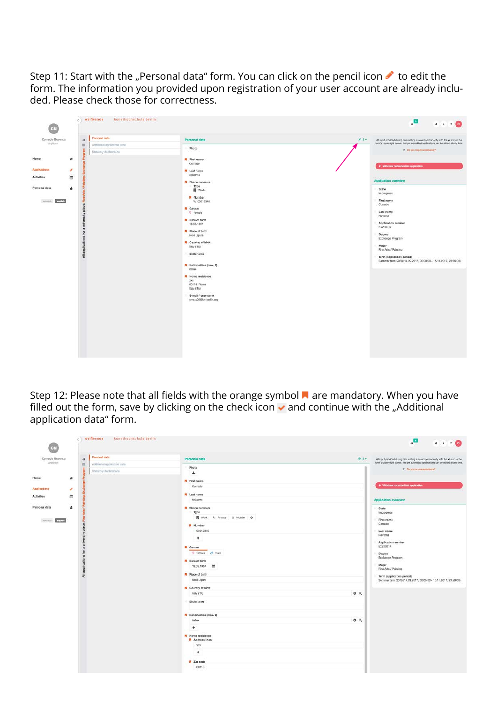Step 11: Start with the "Personal data" form. You can click on the pencil icon  $\bullet$  to edit the form. The information you provided upon registration of your user account are already included. Please check those for correctness.

| z.                                                                                                               | weißenses<br>kunsthochschule berlin                                                                |                                                                                                                                                                                                                                                                                                                                                                                                                                                                    | $\overline{\mathbf{u}}_{\alpha}$<br>4.1.7.0                                                                                                                                                                                                                                                                                           |
|------------------------------------------------------------------------------------------------------------------|----------------------------------------------------------------------------------------------------|--------------------------------------------------------------------------------------------------------------------------------------------------------------------------------------------------------------------------------------------------------------------------------------------------------------------------------------------------------------------------------------------------------------------------------------------------------------------|---------------------------------------------------------------------------------------------------------------------------------------------------------------------------------------------------------------------------------------------------------------------------------------------------------------------------------------|
| Corrado Noventa<br>Applicant                                                                                     | Personal data<br>$\mathsf{H}$<br>$\equiv$<br>Additional application data<br>Statutory declarations | Personal data<br>Photo                                                                                                                                                                                                                                                                                                                                                                                                                                             | $2.1 -$<br>All input provided during data editing is seved permanently with the v loon in the<br>form's upper right corner. Not yet submitted applications can be edited at any time.<br>2 Do you maybe assistance?                                                                                                                   |
| Home.<br>×.<br><b>Applications</b><br>s<br>首<br><b>Activities</b><br>Personal data<br>٠<br>Annual <b>English</b> | 룳<br>$\overline{z}$<br>å<br>$\overline{a}$                                                         | First name<br>Corrado<br><b>A</b> Last name<br>Noventa<br>R Phone numbers<br>Type<br><b>同</b> Work<br><b>R</b> Number<br>L 03012345<br>R Gender<br>C female<br><b>R</b> Date of birth<br>19.03.1957<br><b>R</b> Place of birth<br>Novi Ligure<br><b>R</b> Country of birth<br>Italy (ITA)<br>Birth name<br>N Nationalities (max. 2)<br>italian<br><b>N</b> Home residence<br><b>XXX</b><br>00118 Roma<br>Italy (ITA)<br>E-mail / username<br>cms.a05@kh-berlin.org | + Withdraw not submitted application<br>Application overview<br>State<br>In progress<br>First name<br>Corrado<br>Last name<br>Noventa<br>Application number<br>EX200017<br>Degree<br>Exchange Program<br>Major<br>Fine Arts / Painting<br>Term (application period)<br>Summer term 2018 (14.09.2017, 00:00:00 - 15.11.2017, 23:59:00) |

Step 12: Please note that all fields with the orange symbol  $\blacksquare$  are mandatory. When you have filled out the form, save by clicking on the check icon  $\blacktriangledown$  and continue with the "Additional application data" form.

| оN                            |   | weißensee<br>kunsthochschule berlin      |                                                                                                          |        | $\blacksquare_a$<br>$4 + 100$                                                                                                                                              |
|-------------------------------|---|------------------------------------------|----------------------------------------------------------------------------------------------------------|--------|----------------------------------------------------------------------------------------------------------------------------------------------------------------------------|
| Corrado Noventa<br>Applicant  |   | Personal data<br>44                      | Personal data                                                                                            | $01 -$ | All input provided during data editing is saved permanently with the v loon in the<br>form's upper right corner. Not yet submitted applications can be edited at any time. |
|                               |   | $\equiv$<br>Additional application data. | Photo                                                                                                    |        |                                                                                                                                                                            |
|                               |   | Statutory declarations                   | 土                                                                                                        |        | P Op you require assistance?                                                                                                                                               |
| Home                          | 4 |                                          | <b>R</b> First name                                                                                      |        |                                                                                                                                                                            |
|                               |   |                                          | Corrado                                                                                                  |        | + Withdraw not submitted application                                                                                                                                       |
| <b>Applications</b>           | s |                                          | <b>M</b> Last name                                                                                       |        |                                                                                                                                                                            |
| Activities                    | 曲 |                                          | Noventa                                                                                                  |        | Application overview                                                                                                                                                       |
| Personal data<br>Autor: 10022 | ٠ |                                          | <b>R</b> Phone numbers<br>Type<br><b>R</b> Work & Private D Mobile O                                     |        | State<br>In progress<br>First name<br>Corrado                                                                                                                              |
|                               |   | 75                                       | <b>A</b> Number                                                                                          |        |                                                                                                                                                                            |
|                               |   |                                          | 03012345                                                                                                 |        | Last name<br>Noventa                                                                                                                                                       |
|                               |   | w<br>appli<br>$\overline{z}$             | ۰<br>A Gender<br>12 female of male.<br><b>R</b> Date of birth<br>19.03.1957 章<br><b>R</b> Place of birth |        | Application number<br>EX200017<br>Degree<br>Exchange Program<br>Major<br>Fine Arts / Painting<br>Term (application period)                                                 |
|                               |   |                                          | Novi Ligure                                                                                              |        | Summer term 2018 (14.09.2017, 00:00:00 - 15.11.2017, 23:59:00)                                                                                                             |
|                               |   |                                          | R Country of birth                                                                                       |        |                                                                                                                                                                            |
|                               |   |                                          | Italy (ITA)                                                                                              | QQ     |                                                                                                                                                                            |
|                               |   |                                          | <b>Birth</b> name                                                                                        |        |                                                                                                                                                                            |
|                               |   |                                          | <b>A</b> Nationalities (max. 2)                                                                          |        |                                                                                                                                                                            |
|                               |   |                                          | Italian                                                                                                  | 0Q     |                                                                                                                                                                            |
|                               |   |                                          | $\ddot{}$                                                                                                |        |                                                                                                                                                                            |
|                               |   |                                          | <b>M</b> Home residence<br><b>N</b> Address lines                                                        |        |                                                                                                                                                                            |
|                               |   |                                          | XXX.                                                                                                     |        |                                                                                                                                                                            |
|                               |   |                                          | $\ddot{}$                                                                                                |        |                                                                                                                                                                            |
|                               |   |                                          | <b>M</b> Zip code                                                                                        |        |                                                                                                                                                                            |
|                               |   |                                          | 00118                                                                                                    |        |                                                                                                                                                                            |
|                               |   |                                          |                                                                                                          |        |                                                                                                                                                                            |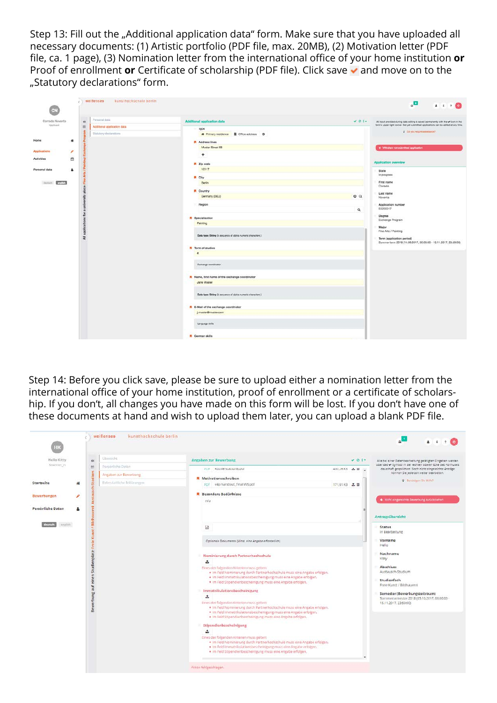Step 13: Fill out the "Additional application data" form. Make sure that you have uploaded all necessary documents: (1) Artistic portfolio (PDF file, max. 20MB), (2) Motivation letter (PDF file, ca. 1 page), (3) Nomination letter from the international office of your home institution **or** Proof of enrollment **or** Certificate of scholarship (PDF file). Click save v and move on to the "Statutory declarations" form.

|                    | weißenses<br>kunsthochschule berlin     |                                                             |          | $\overline{\mathbf{u}}_{\alpha}$<br>$4 + 1 + 0$                                      |
|--------------------|-----------------------------------------|-------------------------------------------------------------|----------|--------------------------------------------------------------------------------------|
| Corrado Noventa    | Persunal data<br>#                      | Additional application data                                 | 40.014   | All input provided during cata editing is seved permanently with the w loon in the   |
| Applicant          | $\equiv$<br>Additional application data | rype                                                        |          | form's upper right corner. Not yet submitted applications can be edited at any time. |
|                    | Statutory declarations                  | <b>#</b> Primary residence <b>#</b> Office address <b>O</b> |          | 9 Do you require assistance?                                                         |
| Home<br>×          |                                         | <b>R</b> Address lines                                      |          |                                                                                      |
|                    |                                         | Muster Street 58                                            |          | + Withdraw not submitted application                                                 |
| Applications<br>×  |                                         | $+$                                                         |          |                                                                                      |
| 曲<br>Activities    |                                         |                                                             |          | <b>Application overview</b>                                                          |
|                    |                                         | R Zip code                                                  |          |                                                                                      |
| Personal data<br>٠ |                                         | 10117                                                       |          | State                                                                                |
|                    |                                         | R City                                                      |          | In progress                                                                          |
| match<br>checkech. |                                         | Berlin                                                      |          | First name<br>Corrado                                                                |
|                    |                                         | <b>R</b> Country                                            |          |                                                                                      |
|                    |                                         | Germany (DEU)                                               | 0Q       | Last name<br>Noventa                                                                 |
|                    |                                         | Region                                                      |          | Application number                                                                   |
|                    |                                         |                                                             | $\alpha$ | EX200017                                                                             |
|                    |                                         |                                                             |          | Degree                                                                               |
|                    |                                         | <b>R</b> Specialization<br>Painting                         |          | Exchange Program                                                                     |
|                    |                                         |                                                             |          | Major                                                                                |
|                    | 몸                                       | Data type: String (A sequence of sighs-numeric characters.) |          | Fine Arts / Painting                                                                 |
|                    | $\overline{z}$                          |                                                             |          | Term (application period)                                                            |
|                    |                                         | <b>R</b> Term of studies                                    |          | Summer term 2018 (14.09.2017, 00:00:00 - 15.11.2017, 23:59:00)                       |
|                    |                                         | $\mathbf{g}$                                                |          |                                                                                      |
|                    |                                         |                                                             |          |                                                                                      |
|                    |                                         | Exchange coordinator                                        |          |                                                                                      |
|                    |                                         |                                                             |          |                                                                                      |
|                    |                                         | R Name, first name of the exchange coordinator              |          |                                                                                      |
|                    |                                         | Jane Muster                                                 |          |                                                                                      |
|                    |                                         |                                                             |          |                                                                                      |
|                    |                                         | Data type: String (A sequence of alpha-numeric charactors.) |          |                                                                                      |
|                    |                                         |                                                             |          |                                                                                      |
|                    |                                         | R E-Mail of the exchange coordinator                        |          |                                                                                      |
|                    |                                         | j.muster@muster.com                                         |          |                                                                                      |
|                    |                                         |                                                             |          |                                                                                      |
|                    |                                         | Language sidle                                              |          |                                                                                      |
|                    |                                         |                                                             |          |                                                                                      |
|                    |                                         | <b>R</b> German skills                                      |          |                                                                                      |

Step 14: Before you click save, please be sure to upload either a nomination letter from the international office of your home institution, proof of enrollment or a certificate of scholarship. If you don't, all changes you have made on this form will be lost. If you don't have one of these documents at hand and wish to upload them later, you can upload a blank PDF file.

| <b>Hello Kitty</b> | #                   | <b>Ubersicht</b>            | Angaben zur Bewerbung                                                                                                                                                                                                                                        |              | VQ  | Alle bei einer Datenbearbeitung getätigten Eingaben werden.                                                          |
|--------------------|---------------------|-----------------------------|--------------------------------------------------------------------------------------------------------------------------------------------------------------------------------------------------------------------------------------------------------------|--------------|-----|----------------------------------------------------------------------------------------------------------------------|
| Bewerber in        | m                   | Personliche Daten           | PUF KULKEISLAULUISARII                                                                                                                                                                                                                                       | 490,20 KB    | - U | über das √-Symbol in der rechten oberen Ecke des Formulars<br>dauerhaft gespeichert. Noch nicht eingereichte Anträge |
|                    | Studium             | Angaben zur Bewerbung-      | <b>N</b> Motivationsschreiben                                                                                                                                                                                                                                |              |     | konnen Sie jederzeit weiter bearbeiten.<br>9 Benotigen Ste Hilfe?                                                    |
| Startseite         | 舜                   | Eidesstattliche Erklärungen | PDF v4p handout_final WS.pdf                                                                                                                                                                                                                                 | 171.91 KB 上自 |     |                                                                                                                      |
| Bewerbungen        | ₽                   |                             | <b>Besondere Bedürfnisse</b><br>n/a                                                                                                                                                                                                                          |              |     | + Nicht eingereichte Gewerbung zurückziehen                                                                          |
| Persönliche Daten  | 2                   |                             |                                                                                                                                                                                                                                                              |              |     |                                                                                                                      |
|                    | <b>Bildt</b>        |                             |                                                                                                                                                                                                                                                              |              |     | Antragsübersicht                                                                                                     |
| angilah.           | Kunst /             |                             | 固                                                                                                                                                                                                                                                            |              |     | <b>Status</b><br>In Bearbeitung                                                                                      |
|                    |                     |                             | Optionale Dokumente (Mind. eine Angabe erforderlich)                                                                                                                                                                                                         |              |     | Vorname<br>Hello                                                                                                     |
|                    | Studienplatz: Freie |                             | Nominierung durch Partnerhochschule<br>土                                                                                                                                                                                                                     |              |     | Nachname<br>Kitty                                                                                                    |
|                    | einen:              |                             | Eines der folgenden Kriterien muss gelten:<br>· Im Feld Nominierung durch Partnerhochschule muss eine Angabe erfolgen.<br>· Im Feld Immatrikulationsbescheinigung muss eine Angabe erfolgen.<br>· Im Feld Stipendienbescheinigung muss eine Angabe erfolgen. |              |     | <b>Abschluss</b><br>Austausch-Studium<br>Studienfach                                                                 |
|                    |                     |                             | Immatrikulationsbescheinigung                                                                                                                                                                                                                                |              |     | Freie Kunst / Bildhauerei                                                                                            |
|                    |                     |                             | 土                                                                                                                                                                                                                                                            |              |     | Semester (Bewerbungszeitraum)<br>Sommersemester 2018 (05.10.2017, 00:00:00 -                                         |
|                    | Bewerbung auf       |                             | Eines der folgenden Kriterien muss gelten:<br>· Im Feld Nominierung durch Partnerhochschule muss eine Angabe erfolgen.<br>· Im Feld Immatrikulationsbescheinigung muss eine Angabe erfolgen.<br>· Im Feld Stipendienbescheinigung muss eine Angabe erfolgen. |              |     | 15.11.2017, 23:59:00)                                                                                                |
|                    |                     |                             | Stipendlenbescheinigung                                                                                                                                                                                                                                      |              |     |                                                                                                                      |
|                    |                     |                             | 1                                                                                                                                                                                                                                                            |              |     |                                                                                                                      |
|                    |                     |                             | Eines der folgenden Kriterien muss gelten:<br>· Im Feld Nominierung durch Partnerhochschule muss eine Angabe erfolgen.<br>· Im Feld Immatrikulationsbescheinigung muss eine Angabe erfolgen.<br>· Im Feld Stipendienbescheinigung muss eine Angabe erfolgen. |              |     |                                                                                                                      |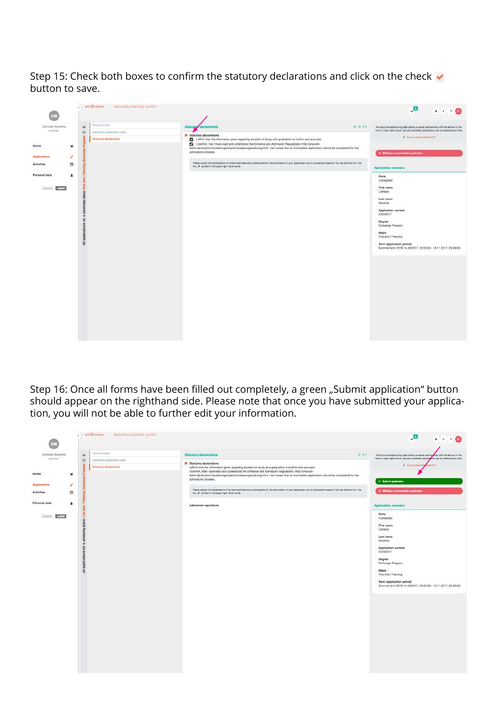Step 15: Check both boxes to confirm the statutory declarations and click on the check  $\blacktriangledown$ button to save.

| œ.                                           |                                                    | weißensen<br>kunsthochschule berlin                                    |                                                                                                                                                                                                                                                                                                                                                                                                                                        | $\overline{\mathbf{u}}_{\mathbf{a}}$<br>4170                                                                                                                                                                                                                                                          |
|----------------------------------------------|----------------------------------------------------|------------------------------------------------------------------------|----------------------------------------------------------------------------------------------------------------------------------------------------------------------------------------------------------------------------------------------------------------------------------------------------------------------------------------------------------------------------------------------------------------------------------------|-------------------------------------------------------------------------------------------------------------------------------------------------------------------------------------------------------------------------------------------------------------------------------------------------------|
| Corrado Noventa<br>Applicant                 | 44<br>$\equiv$                                     | Forsonal data<br>Additional application data<br>Statutory declarations | $-01-$<br>Statuto<br><b>R</b> Statutory declarations<br>affirm that the information given regarding duration of study and graduation is truthful and accurate.                                                                                                                                                                                                                                                                         | All input provided during data editing is saved permanently with the v idon in the<br>form's upper right corner. Not yet submitted applications can be edited at any time.<br>Technisian military cor. Q.                                                                                             |
| Home<br>Applications<br><b>Activities</b>    | $\boldsymbol{\#}$<br>$\overline{\phantom{a}}$<br>曲 |                                                                        | C I confirm, that I have read and understood the Entrance and Admission Regulations: http://www.kh-<br>berlin.de/studium/studienorganisation/zulassungsordnung.html. I am aware that an incomplete application cannot be considered for the<br>admissions process.<br>Please accept the declarations of consent as these are a prensulaite for the submission of your application due to procedural reasons. You can edit the form via | + Withdraw not submitted application                                                                                                                                                                                                                                                                  |
| Personal data<br><b>myleh</b><br>should also | Δ<br>后<br>$\overline{\overline{z}}$                |                                                                        | the # symbol in the upper right hand corner.                                                                                                                                                                                                                                                                                                                                                                                           | <b>Application overview</b><br>State<br>In progress.<br>First name<br>Corrado<br>Last name<br>Noventa<br>Application number<br>EX200017<br>Degree<br>Exchange Program<br>Major<br>Fine Arts / Painting<br>Term (application period)<br>Summer term 2018 (14.09.2017, 00:00:00 - 15.11.2017, 23:59:00) |

Step 16: Once all forms have been filled out completely, a green "Submit application" button should appear on the righthand side. Please note that once you have submitted your application, you will not be able to further edit your information.

|                                        |                          | weißenses<br>kunsthochschule berlin          |                                                                                                                                                                                                                                                                                                                                                                              | a,<br>4170                                                                                                                                                                                                                                                                                           |
|----------------------------------------|--------------------------|----------------------------------------------|------------------------------------------------------------------------------------------------------------------------------------------------------------------------------------------------------------------------------------------------------------------------------------------------------------------------------------------------------------------------------|------------------------------------------------------------------------------------------------------------------------------------------------------------------------------------------------------------------------------------------------------------------------------------------------------|
| Corrado Noventa<br>Applicant           | $\rightarrow$<br>田.      | Personal data<br>Additional epplication data | $2.1 -$<br><b>Statutory declarations</b><br>R Statutory declarations                                                                                                                                                                                                                                                                                                         | All input provided during data editing is saved permany my with the w loon in the<br>form's upper right corner. Not yet submitted application can be edited at any time.<br>2 Do you mail in su<br><b>Associat</b>                                                                                   |
| Home                                   | $\#$                     | Statutory declarations                       | I affirm that the information given regarding duration of study and graduation is truthful and accurate.<br>I confirm, that I have read and understood the Entrance and Admission Regulations: http://www.kh-<br>berlin.de/studium/studienorganisation/zulassungsordnung.html. I am aware that an incomplete application cannot be considered for the<br>admissions process. | > Submit application                                                                                                                                                                                                                                                                                 |
| Applications<br>Activities             | v.<br>曲                  |                                              | Please accept the declarations of consent as these are a prerequisite for the submission of your application due to procedural reasons. You can edit the form via<br>the a symbol in the upper right hand comer.                                                                                                                                                             | + Withdraw not submitted application                                                                                                                                                                                                                                                                 |
| Personal data<br>english<br>shaultech- | ٠<br>을<br>$\overline{a}$ |                                              | Admission regulations                                                                                                                                                                                                                                                                                                                                                        | <b>Application overview</b><br>State<br>In progress<br>First name<br>Corrado<br>Last name<br>Noventa<br>Application number<br>EX200017<br>Degree<br>Exchange Program<br>Major<br>Fine Arts / Painting<br>Term (application period)<br>Summer term 2018 (14.09.2017, 00:00:00 - 15.11.2017, 23:59:00) |